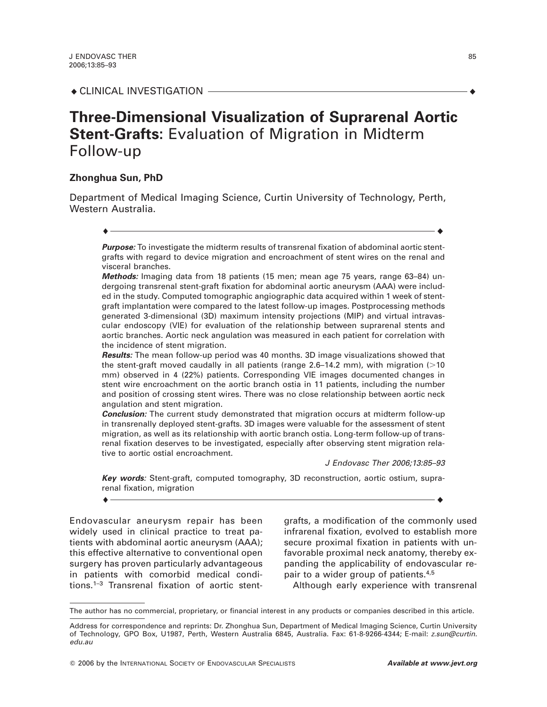# **Three-Dimensional Visualization of Suprarenal Aortic Stent-Grafts:** Evaluation of Migration in Midterm Follow-up

## **Zhonghua Sun, PhD**

Department of Medical Imaging Science, Curtin University of Technology, Perth, Western Australia.

**Purpose:** To investigate the midterm results of transrenal fixation of abdominal aortic stentgrafts with regard to device migration and encroachment of stent wires on the renal and visceral branches.

 $\bullet$   $\overline{\phantom{a}}$   $\bullet$   $\overline{\phantom{a}}$   $\bullet$   $\overline{\phantom{a}}$   $\bullet$   $\overline{\phantom{a}}$   $\bullet$   $\overline{\phantom{a}}$   $\bullet$   $\overline{\phantom{a}}$   $\bullet$   $\overline{\phantom{a}}$   $\bullet$   $\overline{\phantom{a}}$   $\bullet$   $\overline{\phantom{a}}$   $\bullet$   $\overline{\phantom{a}}$   $\bullet$   $\overline{\phantom{a}}$   $\bullet$   $\overline{\phantom{a}}$   $\bullet$   $\overline{\phantom{a}}$ 

**Methods:** Imaging data from 18 patients (15 men; mean age 75 years, range 63–84) undergoing transrenal stent-graft fixation for abdominal aortic aneurysm (AAA) were included in the study. Computed tomographic angiographic data acquired within 1 week of stentgraft implantation were compared to the latest follow-up images. Postprocessing methods generated 3-dimensional (3D) maximum intensity projections (MIP) and virtual intravascular endoscopy (VIE) for evaluation of the relationship between suprarenal stents and aortic branches. Aortic neck angulation was measured in each patient for correlation with the incidence of stent migration.

**Results:** The mean follow-up period was 40 months. 3D image visualizations showed that the stent-graft moved caudally in all patients (range  $2.6-14.2$  mm), with migration ( $>10$ ) mm) observed in 4 (22%) patients. Corresponding VIE images documented changes in stent wire encroachment on the aortic branch ostia in 11 patients, including the number and position of crossing stent wires. There was no close relationship between aortic neck angulation and stent migration.

**Conclusion:** The current study demonstrated that migration occurs at midterm follow-up in transrenally deployed stent-grafts. 3D images were valuable for the assessment of stent migration, as well as its relationship with aortic branch ostia. Long-term follow-up of transrenal fixation deserves to be investigated, especially after observing stent migration relative to aortic ostial encroachment.

J Endovasc Ther 2006;13:85–93

**Key words**: Stent-graft, computed tomography, 3D reconstruction, aortic ostium, suprarenal fixation, migration l l

Endovascular aneurysm repair has been widely used in clinical practice to treat patients with abdominal aortic aneurysm (AAA); this effective alternative to conventional open surgery has proven particularly advantageous in patients with comorbid medical conditions.1–3 Transrenal fixation of aortic stentgrafts, a modification of the commonly used infrarenal fixation, evolved to establish more secure proximal fixation in patients with unfavorable proximal neck anatomy, thereby expanding the applicability of endovascular repair to a wider group of patients.4,5

Although early experience with transrenal

The author has no commercial, proprietary, or financial interest in any products or companies described in this article.

Address for correspondence and reprints: Dr. Zhonghua Sun, Department of Medical Imaging Science, Curtin University of Technology, GPO Box, U1987, Perth, Western Australia 6845, Australia. Fax: 61-8-9266-4344; E-mail: z.sun@curtin. edu.au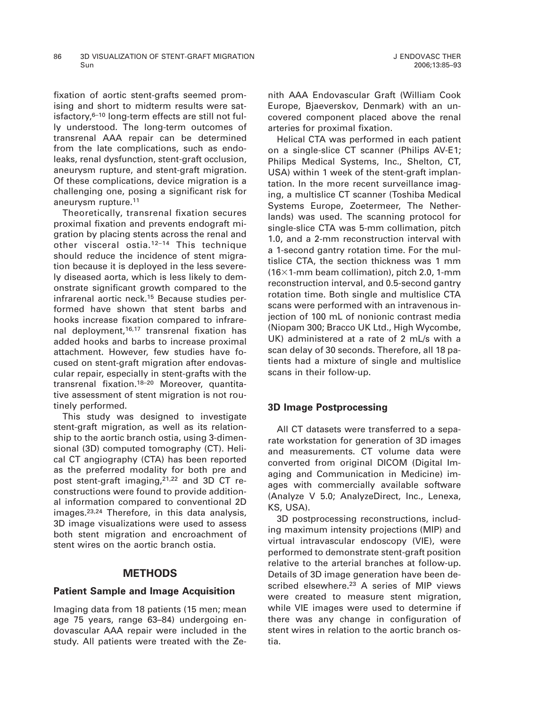fixation of aortic stent-grafts seemed promising and short to midterm results were satisfactory, $6-10$  long-term effects are still not fully understood. The long-term outcomes of transrenal AAA repair can be determined from the late complications, such as endoleaks, renal dysfunction, stent-graft occlusion, aneurysm rupture, and stent-graft migration. Of these complications, device migration is a

aneurysm rupture.11 Theoretically, transrenal fixation secures proximal fixation and prevents endograft migration by placing stents across the renal and other visceral ostia.12–14 This technique should reduce the incidence of stent migration because it is deployed in the less severely diseased aorta, which is less likely to demonstrate significant growth compared to the infrarenal aortic neck.15 Because studies performed have shown that stent barbs and hooks increase fixation compared to infrarenal deployment,<sup>16,17</sup> transrenal fixation has added hooks and barbs to increase proximal attachment. However, few studies have focused on stent-graft migration after endovascular repair, especially in stent-grafts with the transrenal fixation.18–20 Moreover, quantitative assessment of stent migration is not routinely performed.

challenging one, posing a significant risk for

This study was designed to investigate stent-graft migration, as well as its relationship to the aortic branch ostia, using 3-dimensional (3D) computed tomography (CT). Helical CT angiography (CTA) has been reported as the preferred modality for both pre and post stent-graft imaging,21,22 and 3D CT reconstructions were found to provide additional information compared to conventional 2D images.23,24 Therefore, in this data analysis, 3D image visualizations were used to assess both stent migration and encroachment of stent wires on the aortic branch ostia.

### **METHODS**

#### **Patient Sample and Image Acquisition**

Imaging data from 18 patients (15 men; mean age 75 years, range 63–84) undergoing endovascular AAA repair were included in the study. All patients were treated with the Zenith AAA Endovascular Graft (William Cook Europe, Bjaeverskov, Denmark) with an uncovered component placed above the renal arteries for proximal fixation.

Helical CTA was performed in each patient on a single-slice CT scanner (Philips AV-E1; Philips Medical Systems, Inc., Shelton, CT, USA) within 1 week of the stent-graft implantation. In the more recent surveillance imaging, a multislice CT scanner (Toshiba Medical Systems Europe, Zoetermeer, The Netherlands) was used. The scanning protocol for single-slice CTA was 5-mm collimation, pitch 1.0, and a 2-mm reconstruction interval with a 1-second gantry rotation time. For the multislice CTA, the section thickness was 1 mm  $(16\times1$ -mm beam collimation), pitch 2.0, 1-mm reconstruction interval, and 0.5-second gantry rotation time. Both single and multislice CTA scans were performed with an intravenous injection of 100 mL of nonionic contrast media (Niopam 300; Bracco UK Ltd., High Wycombe, UK) administered at a rate of 2 mL/s with a scan delay of 30 seconds. Therefore, all 18 patients had a mixture of single and multislice scans in their follow-up.

### **3D Image Postprocessing**

All CT datasets were transferred to a separate workstation for generation of 3D images and measurements. CT volume data were converted from original DICOM (Digital Imaging and Communication in Medicine) images with commercially available software (Analyze V 5.0; AnalyzeDirect, Inc., Lenexa, KS, USA).

3D postprocessing reconstructions, including maximum intensity projections (MIP) and virtual intravascular endoscopy (VIE), were performed to demonstrate stent-graft position relative to the arterial branches at follow-up. Details of 3D image generation have been described elsewhere.<sup>23</sup> A series of MIP views were created to measure stent migration, while VIE images were used to determine if there was any change in configuration of stent wires in relation to the aortic branch ostia.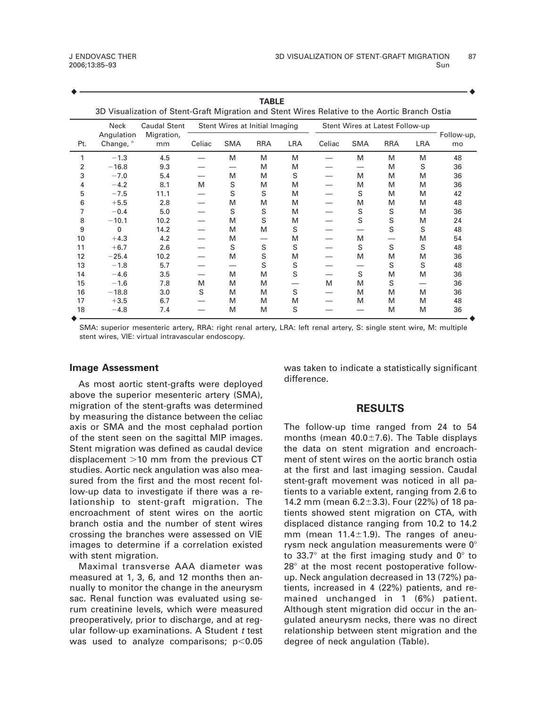| <b>TABLE</b><br>3D Visualization of Stent-Graft Migration and Stent Wires Relative to the Aortic Branch Ostia |                         |                                  |                                |            |            |            |                                 |            |            |            |                  |
|---------------------------------------------------------------------------------------------------------------|-------------------------|----------------------------------|--------------------------------|------------|------------|------------|---------------------------------|------------|------------|------------|------------------|
|                                                                                                               | <b>Neck</b>             | Caudal Stent<br>Migration,<br>mm | Stent Wires at Initial Imaging |            |            |            | Stent Wires at Latest Follow-up |            |            |            |                  |
| Pt.                                                                                                           | Angulation<br>Change, ° |                                  | Celiac                         | <b>SMA</b> | <b>RRA</b> | <b>LRA</b> | Celiac                          | <b>SMA</b> | <b>RRA</b> | <b>LRA</b> | Follow-up,<br>mo |
| 1                                                                                                             | $-1.3$                  | 4.5                              |                                | M          | M          | M          |                                 | M          | M          | M          | 48               |
| 2                                                                                                             | $-16.8$                 | 9.3                              |                                |            | M          | M          |                                 |            | M          | S          | 36               |
| 3                                                                                                             | $-7.0$                  | 5.4                              |                                | м          | M          | S          |                                 | M          | M          | M          | 36               |
| 4                                                                                                             | $-4.2$                  | 8.1                              | M                              | S          | M          | M          |                                 | M          | M          | M          | 36               |
| 5                                                                                                             | $-7.5$                  | 11.1                             |                                | S          | S          | M          |                                 | S          | M          | M          | 42               |
| 6                                                                                                             | $+5.5$                  | 2.8                              |                                | M          | M          | M          |                                 | M          | M          | M          | 48               |
| 7                                                                                                             | $-0.4$                  | 5.0                              |                                | S          | S          | M          |                                 | S          | S          | M          | 36               |
| 8                                                                                                             | $-10.1$                 | 10.2                             |                                | M          | S          | M          |                                 | S          | S          | M          | 24               |
| 9                                                                                                             | 0                       | 14.2                             |                                | M          | M          | S          |                                 |            | S          | S          | 48               |
| 10                                                                                                            | $+4.3$                  | 4.2                              |                                | M          |            | M          |                                 | M          |            | M          | 54               |
| 11                                                                                                            | $+6.7$                  | 2.6                              |                                | S          | S          | S          |                                 | S          | S          | S          | 48               |
| 12                                                                                                            | $-25.4$                 | 10.2                             |                                | M          | S          | M          |                                 | M          | M          | M          | 36               |
| 13                                                                                                            | $-1.8$                  | 5.7                              |                                |            | S          | S          |                                 |            | S          | S          | 48               |
| 14                                                                                                            | $-4.6$                  | 3.5                              |                                | M          | M          | S          |                                 | S          | M          | M          | 36               |
| 15                                                                                                            | $-1.6$                  | 7.8                              | M                              | M          | M          |            | M                               | M          | S          |            | 36               |
| 16                                                                                                            | $-18.8$                 | 3.0                              | S                              | M          | M          | S          |                                 | M          | M          | м          | 36               |
| 17                                                                                                            | $+3.5$                  | 6.7                              |                                | M          | M          | M          |                                 | M          | M          | M          | 48               |
| 18                                                                                                            | $-4.8$                  | 7.4                              |                                | M          | M          | S          |                                 |            | M          | M          | 36               |

l l

SMA: superior mesenteric artery, RRA: right renal artery, LRA: left renal artery, S: single stent wire, M: multiple stent wires, VIE: virtual intravascular endoscopy.

#### **Image Assessment**

As most aortic stent-grafts were deployed above the superior mesenteric artery (SMA), migration of the stent-grafts was determined by measuring the distance between the celiac axis or SMA and the most cephalad portion of the stent seen on the sagittal MIP images. Stent migration was defined as caudal device displacement  $>10$  mm from the previous CT studies. Aortic neck angulation was also measured from the first and the most recent follow-up data to investigate if there was a relationship to stent-graft migration. The encroachment of stent wires on the aortic branch ostia and the number of stent wires crossing the branches were assessed on VIE images to determine if a correlation existed with stent migration.

Maximal transverse AAA diameter was measured at 1, 3, 6, and 12 months then annually to monitor the change in the aneurysm sac. Renal function was evaluated using serum creatinine levels, which were measured preoperatively, prior to discharge, and at regular follow-up examinations. A Student t test was used to analyze comparisons;  $p<0.05$  was taken to indicate a statistically significant difference.

#### **RESULTS**

The follow-up time ranged from 24 to 54 months (mean  $40.0 \pm 7.6$ ). The Table displays the data on stent migration and encroachment of stent wires on the aortic branch ostia at the first and last imaging session. Caudal stent-graft movement was noticed in all patients to a variable extent, ranging from 2.6 to 14.2 mm (mean 6.2 $\pm$ 3.3). Four (22%) of 18 patients showed stent migration on CTA, with displaced distance ranging from 10.2 to 14.2 mm (mean  $11.4 \pm 1.9$ ). The ranges of aneurysm neck angulation measurements were  $0^\circ$ to 33.7 $\degree$  at the first imaging study and  $0\degree$  to  $28^\circ$  at the most recent postoperative followup. Neck angulation decreased in 13 (72%) patients, increased in 4 (22%) patients, and remained unchanged in 1 (6%) patient. Although stent migration did occur in the angulated aneurysm necks, there was no direct relationship between stent migration and the degree of neck angulation (Table).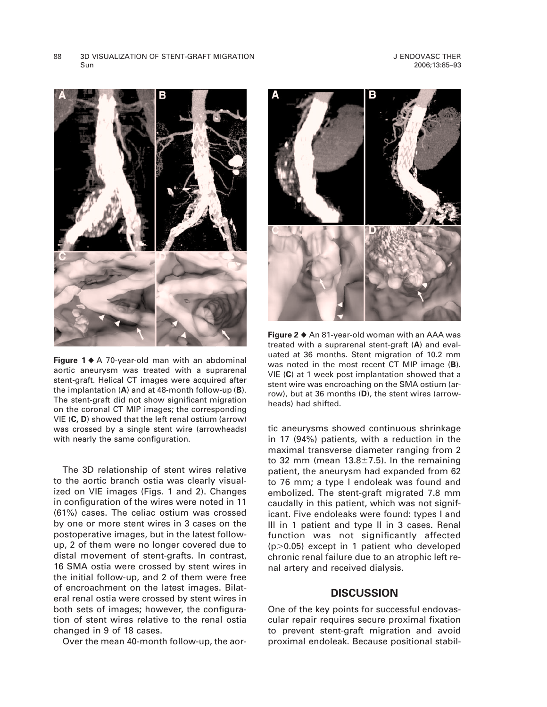

**Figure 1** $\triangle$  A 70-year-old man with an abdominal aortic aneurysm was treated with a suprarenal stent-graft. Helical CT images were acquired after the implantation (**A**) and at 48-month follow-up (**B**). The stent-graft did not show significant migration on the coronal CT MIP images; the corresponding VIE (**C, D**) showed that the left renal ostium (arrow) was crossed by a single stent wire (arrowheads) with nearly the same configuration.

The 3D relationship of stent wires relative to the aortic branch ostia was clearly visualized on VIE images (Figs. 1 and 2). Changes in configuration of the wires were noted in 11 (61%) cases. The celiac ostium was crossed by one or more stent wires in 3 cases on the postoperative images, but in the latest followup, 2 of them were no longer covered due to distal movement of stent-grafts. In contrast, 16 SMA ostia were crossed by stent wires in the initial follow-up, and 2 of them were free of encroachment on the latest images. Bilateral renal ostia were crossed by stent wires in both sets of images; however, the configuration of stent wires relative to the renal ostia changed in 9 of 18 cases.

Over the mean 40-month follow-up, the aor-



**Figure 2 ♦** An 81-year-old woman with an AAA was treated with a suprarenal stent-graft (**A**) and evaluated at 36 months. Stent migration of 10.2 mm was noted in the most recent CT MIP image (**B**). VIE (**C**) at 1 week post implantation showed that a stent wire was encroaching on the SMA ostium (arrow), but at 36 months (**D**), the stent wires (arrowheads) had shifted.

tic aneurysms showed continuous shrinkage in 17 (94%) patients, with a reduction in the maximal transverse diameter ranging from 2 to 32 mm (mean  $13.8 \pm 7.5$ ). In the remaining patient, the aneurysm had expanded from 62 to 76 mm; a type I endoleak was found and embolized. The stent-graft migrated 7.8 mm caudally in this patient, which was not significant. Five endoleaks were found: types I and III in 1 patient and type II in 3 cases. Renal function was not significantly affected  $(p>0.05)$  except in 1 patient who developed chronic renal failure due to an atrophic left renal artery and received dialysis.

### **DISCUSSION**

One of the key points for successful endovascular repair requires secure proximal fixation to prevent stent-graft migration and avoid proximal endoleak. Because positional stabil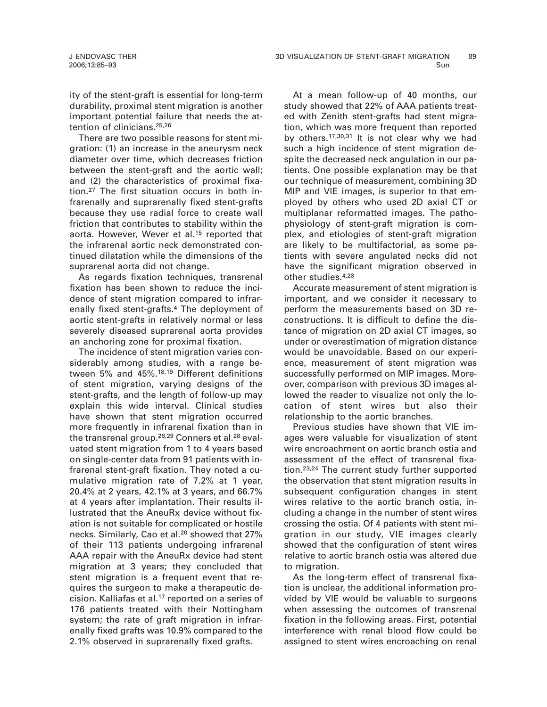ity of the stent-graft is essential for long-term durability, proximal stent migration is another important potential failure that needs the attention of clinicians.25,26

There are two possible reasons for stent migration: (1) an increase in the aneurysm neck diameter over time, which decreases friction between the stent-graft and the aortic wall; and (2) the characteristics of proximal fixation.27 The first situation occurs in both infrarenally and suprarenally fixed stent-grafts because they use radial force to create wall friction that contributes to stability within the aorta. However, Wever et al.15 reported that the infrarenal aortic neck demonstrated continued dilatation while the dimensions of the suprarenal aorta did not change.

As regards fixation techniques, transrenal fixation has been shown to reduce the incidence of stent migration compared to infrarenally fixed stent-grafts.4 The deployment of aortic stent-grafts in relatively normal or less severely diseased suprarenal aorta provides an anchoring zone for proximal fixation.

The incidence of stent migration varies considerably among studies, with a range between 5% and 45%.18,19 Different definitions of stent migration, varying designs of the stent-grafts, and the length of follow-up may explain this wide interval. Clinical studies have shown that stent migration occurred more frequently in infrarenal fixation than in the transrenal group.<sup>28,29</sup> Conners et al.<sup>28</sup> evaluated stent migration from 1 to 4 years based on single-center data from 91 patients with infrarenal stent-graft fixation. They noted a cumulative migration rate of 7.2% at 1 year, 20.4% at 2 years, 42.1% at 3 years, and 66.7% at 4 years after implantation. Their results illustrated that the AneuRx device without fixation is not suitable for complicated or hostile necks. Similarly, Cao et al.20 showed that 27% of their 113 patients undergoing infrarenal AAA repair with the AneuRx device had stent migration at 3 years; they concluded that stent migration is a frequent event that requires the surgeon to make a therapeutic decision. Kalliafas et al.17 reported on a series of 176 patients treated with their Nottingham system; the rate of graft migration in infrarenally fixed grafts was 10.9% compared to the 2.1% observed in suprarenally fixed grafts.

At a mean follow-up of 40 months, our study showed that 22% of AAA patients treated with Zenith stent-grafts had stent migration, which was more frequent than reported by others.<sup>17,30,31</sup> It is not clear why we had such a high incidence of stent migration despite the decreased neck angulation in our patients. One possible explanation may be that our technique of measurement, combining 3D MIP and VIE images, is superior to that employed by others who used 2D axial CT or multiplanar reformatted images. The pathophysiology of stent-graft migration is complex, and etiologies of stent-graft migration are likely to be multifactorial, as some patients with severe angulated necks did not have the significant migration observed in other studies.4,28

Accurate measurement of stent migration is important, and we consider it necessary to perform the measurements based on 3D reconstructions. It is difficult to define the distance of migration on 2D axial CT images, so under or overestimation of migration distance would be unavoidable. Based on our experience, measurement of stent migration was successfully performed on MIP images. Moreover, comparison with previous 3D images allowed the reader to visualize not only the location of stent wires but also their relationship to the aortic branches.

Previous studies have shown that VIE images were valuable for visualization of stent wire encroachment on aortic branch ostia and assessment of the effect of transrenal fixation.23,24 The current study further supported the observation that stent migration results in subsequent configuration changes in stent wires relative to the aortic branch ostia, including a change in the number of stent wires crossing the ostia. Of 4 patients with stent migration in our study, VIE images clearly showed that the configuration of stent wires relative to aortic branch ostia was altered due to migration.

As the long-term effect of transrenal fixation is unclear, the additional information provided by VIE would be valuable to surgeons when assessing the outcomes of transrenal fixation in the following areas. First, potential interference with renal blood flow could be assigned to stent wires encroaching on renal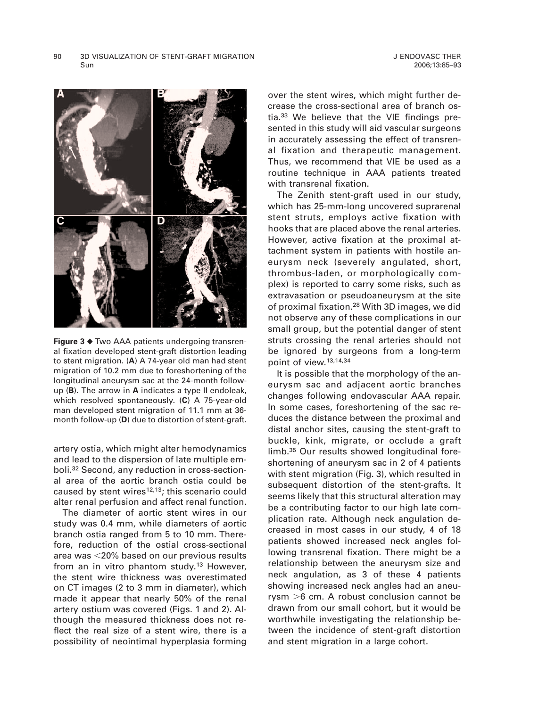

**Figure 3 ♦** Two AAA patients undergoing transrenal fixation developed stent-graft distortion leading to stent migration. (**A**) A 74-year old man had stent migration of 10.2 mm due to foreshortening of the longitudinal aneurysm sac at the 24-month followup (**B**). The arrow in **A** indicates a type II endoleak, which resolved spontaneously. (**C**) A 75-year-old man developed stent migration of 11.1 mm at 36 month follow-up (**D**) due to distortion of stent-graft.

artery ostia, which might alter hemodynamics and lead to the dispersion of late multiple emboli.32 Second, any reduction in cross-sectional area of the aortic branch ostia could be caused by stent wires $12,13$ ; this scenario could alter renal perfusion and affect renal function.

The diameter of aortic stent wires in our study was 0.4 mm, while diameters of aortic branch ostia ranged from 5 to 10 mm. Therefore, reduction of the ostial cross-sectional area was  $<$ 20% based on our previous results from an in vitro phantom study.<sup>13</sup> However, the stent wire thickness was overestimated on CT images (2 to 3 mm in diameter), which made it appear that nearly 50% of the renal artery ostium was covered (Figs. 1 and 2). Although the measured thickness does not reflect the real size of a stent wire, there is a possibility of neointimal hyperplasia forming over the stent wires, which might further decrease the cross-sectional area of branch ostia.<sup>33</sup> We believe that the VIE findings presented in this study will aid vascular surgeons in accurately assessing the effect of transrenal fixation and therapeutic management. Thus, we recommend that VIE be used as a routine technique in AAA patients treated with transrenal fixation.

The Zenith stent-graft used in our study, which has 25-mm-long uncovered suprarenal stent struts, employs active fixation with hooks that are placed above the renal arteries. However, active fixation at the proximal attachment system in patients with hostile aneurysm neck (severely angulated, short, thrombus-laden, or morphologically complex) is reported to carry some risks, such as extravasation or pseudoaneurysm at the site of proximal fixation.28 With 3D images, we did not observe any of these complications in our small group, but the potential danger of stent struts crossing the renal arteries should not be ignored by surgeons from a long-term point of view.13,14,34

It is possible that the morphology of the aneurysm sac and adjacent aortic branches changes following endovascular AAA repair. In some cases, foreshortening of the sac reduces the distance between the proximal and distal anchor sites, causing the stent-graft to buckle, kink, migrate, or occlude a graft limb.35 Our results showed longitudinal foreshortening of aneurysm sac in 2 of 4 patients with stent migration (Fig. 3), which resulted in subsequent distortion of the stent-grafts. It seems likely that this structural alteration may be a contributing factor to our high late complication rate. Although neck angulation decreased in most cases in our study, 4 of 18 patients showed increased neck angles following transrenal fixation. There might be a relationship between the aneurysm size and neck angulation, as 3 of these 4 patients showing increased neck angles had an aneurysm  $>6$  cm. A robust conclusion cannot be drawn from our small cohort, but it would be worthwhile investigating the relationship between the incidence of stent-graft distortion and stent migration in a large cohort.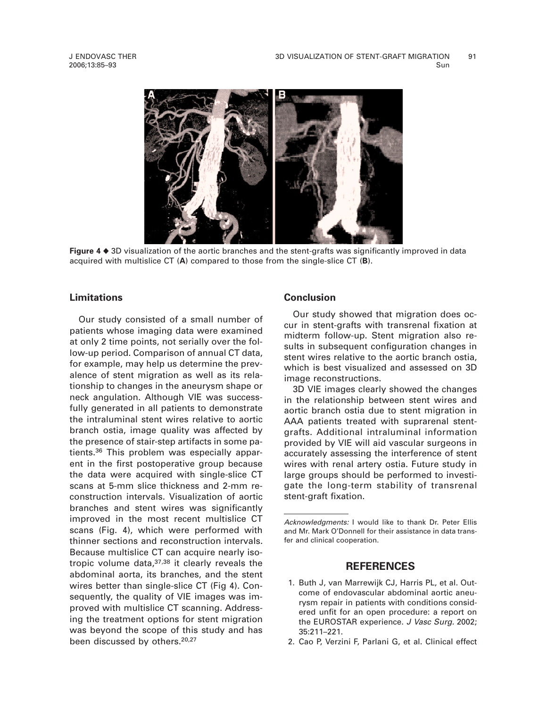

**Figure 4** ♦ 3D visualization of the aortic branches and the stent-grafts was significantly improved in data acquired with multislice CT (**A**) compared to those from the single-slice CT (**B**).

## **Limitations**

Our study consisted of a small number of patients whose imaging data were examined at only 2 time points, not serially over the follow-up period. Comparison of annual CT data, for example, may help us determine the prevalence of stent migration as well as its relationship to changes in the aneurysm shape or neck angulation. Although VIE was successfully generated in all patients to demonstrate the intraluminal stent wires relative to aortic branch ostia, image quality was affected by the presence of stair-step artifacts in some patients.36 This problem was especially apparent in the first postoperative group because the data were acquired with single-slice CT scans at 5-mm slice thickness and 2-mm reconstruction intervals. Visualization of aortic branches and stent wires was significantly improved in the most recent multislice CT scans (Fig. 4), which were performed with thinner sections and reconstruction intervals. Because multislice CT can acquire nearly isotropic volume data,37,38 it clearly reveals the abdominal aorta, its branches, and the stent wires better than single-slice CT (Fig 4). Consequently, the quality of VIE images was improved with multislice CT scanning. Addressing the treatment options for stent migration was beyond the scope of this study and has been discussed by others.<sup>20,27</sup>

### **Conclusion**

Our study showed that migration does occur in stent-grafts with transrenal fixation at midterm follow-up. Stent migration also results in subsequent configuration changes in stent wires relative to the aortic branch ostia, which is best visualized and assessed on 3D image reconstructions.

3D VIE images clearly showed the changes in the relationship between stent wires and aortic branch ostia due to stent migration in AAA patients treated with suprarenal stentgrafts. Additional intraluminal information provided by VIE will aid vascular surgeons in accurately assessing the interference of stent wires with renal artery ostia. Future study in large groups should be performed to investigate the long-term stability of transrenal stent-graft fixation.

#### **REFERENCES**

- 1. Buth J, van Marrewijk CJ, Harris PL, et al. Outcome of endovascular abdominal aortic aneurysm repair in patients with conditions considered unfit for an open procedure: a report on the EUROSTAR experience. J Vasc Surg. 2002; 35:211–221.
- 2. Cao P, Verzini F, Parlani G, et al. Clinical effect

Acknowledgments: I would like to thank Dr. Peter Ellis and Mr. Mark O'Donnell for their assistance in data transfer and clinical cooperation.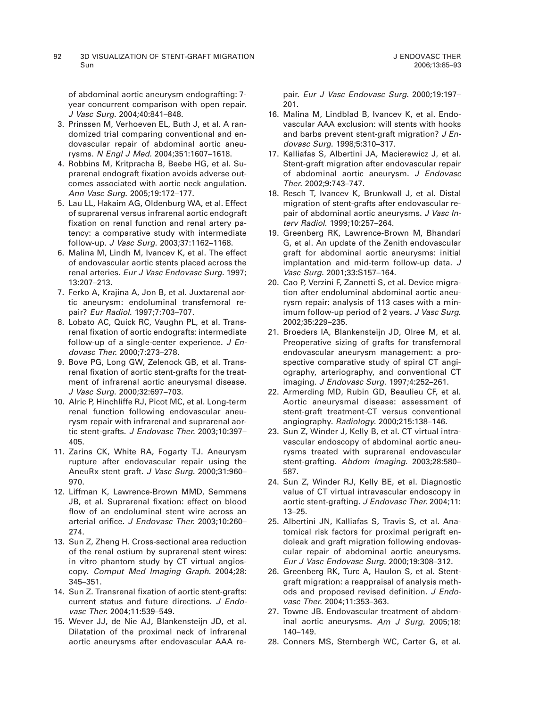92 3D VISUALIZATION OF STENT-GRAFT MIGRATION Sun

of abdominal aortic aneurysm endografting: 7 year concurrent comparison with open repair. J Vasc Surg. 2004;40:841–848.

- 3. Prinssen M, Verhoeven EL, Buth J, et al. A randomized trial comparing conventional and endovascular repair of abdominal aortic aneurysms. N Engl J Med. 2004;351:1607–1618.
- 4. Robbins M, Kritpracha B, Beebe HG, et al. Suprarenal endograft fixation avoids adverse outcomes associated with aortic neck angulation. Ann Vasc Surg. 2005;19:172–177.
- 5. Lau LL, Hakaim AG, Oldenburg WA, et al. Effect of suprarenal versus infrarenal aortic endograft fixation on renal function and renal artery patency: a comparative study with intermediate follow-up. J Vasc Surg. 2003;37:1162–1168.
- 6. Malina M, Lindh M, Ivancev K, et al. The effect of endovascular aortic stents placed across the renal arteries. Eur J Vasc Endovasc Surg. 1997; 13:207–213.
- 7. Ferko A, Krajina A, Jon B, et al. Juxtarenal aortic aneurysm: endoluminal transfemoral repair? Eur Radiol. 1997;7:703–707.
- 8. Lobato AC, Quick RC, Vaughn PL, et al. Transrenal fixation of aortic endografts: intermediate follow-up of a single-center experience. J Endovasc Ther. 2000;7:273–278.
- 9. Bove PG, Long GW, Zelenock GB, et al. Transrenal fixation of aortic stent-grafts for the treatment of infrarenal aortic aneurysmal disease. J Vasc Surg. 2000;32:697–703.
- 10. Alric P, Hinchliffe RJ, Picot MC, et al. Long-term renal function following endovascular aneurysm repair with infrarenal and suprarenal aortic stent-grafts. J Endovasc Ther. 2003;10:397– 405.
- 11. Zarins CK, White RA, Fogarty TJ. Aneurysm rupture after endovascular repair using the AneuRx stent graft. J Vasc Surg. 2000;31:960– 970.
- 12. Liffman K, Lawrence-Brown MMD, Semmens JB, et al. Suprarenal fixation: effect on blood flow of an endoluminal stent wire across an arterial orifice. J Endovasc Ther. 2003;10:260– 274.
- 13. Sun Z, Zheng H. Cross-sectional area reduction of the renal ostium by suprarenal stent wires: in vitro phantom study by CT virtual angioscopy. Comput Med Imaging Graph. 2004;28: 345–351.
- 14. Sun Z. Transrenal fixation of aortic stent-grafts: current status and future directions. J Endovasc Ther. 2004;11:539–549.
- 15. Wever JJ, de Nie AJ, Blankensteijn JD, et al. Dilatation of the proximal neck of infrarenal aortic aneurysms after endovascular AAA re-

pair. Eur J Vasc Endovasc Surg. 2000;19:197– 201.

- 16. Malina M, Lindblad B, Ivancev K, et al. Endovascular AAA exclusion: will stents with hooks and barbs prevent stent-graft migration? J Endovasc Surg. 1998;5:310–317.
- 17. Kalliafas S, Albertini JA, Macierewicz J, et al. Stent-graft migration after endovascular repair of abdominal aortic aneurysm. J Endovasc Ther. 2002;9:743–747.
- 18. Resch T, Ivancev K, Brunkwall J, et al. Distal migration of stent-grafts after endovascular repair of abdominal aortic aneurysms. J Vasc Interv Radiol. 1999;10:257–264.
- 19. Greenberg RK, Lawrence-Brown M, Bhandari G, et al. An update of the Zenith endovascular graft for abdominal aortic aneurysms: initial implantation and mid-term follow-up data. J Vasc Surg. 2001;33:S157–164.
- 20. Cao P, Verzini F, Zannetti S, et al. Device migration after endoluminal abdominal aortic aneurysm repair: analysis of 113 cases with a minimum follow-up period of 2 years. J Vasc Surg. 2002;35:229–235.
- 21. Broeders IA, Blankensteijn JD, Olree M, et al. Preoperative sizing of grafts for transfemoral endovascular aneurysm management: a prospective comparative study of spiral CT angiography, arteriography, and conventional CT imaging. J Endovasc Surg. 1997;4:252–261.
- 22. Armerding MD, Rubin GD, Beaulieu CF, et al. Aortic aneurysmal disease: assessment of stent-graft treatment-CT versus conventional angiography. Radiology. 2000;215:138–146.
- 23. Sun Z, Winder J, Kelly B, et al. CT virtual intravascular endoscopy of abdominal aortic aneurysms treated with suprarenal endovascular stent-grafting. Abdom Imaging. 2003;28:580– 587.
- 24. Sun Z, Winder RJ, Kelly BE, et al. Diagnostic value of CT virtual intravascular endoscopy in aortic stent-grafting. J Endovasc Ther. 2004;11: 13–25.
- 25. Albertini JN, Kalliafas S, Travis S, et al. Anatomical risk factors for proximal perigraft endoleak and graft migration following endovascular repair of abdominal aortic aneurysms. Eur J Vasc Endovasc Surg. 2000;19:308–312.
- 26. Greenberg RK, Turc A, Haulon S, et al. Stentgraft migration: a reappraisal of analysis methods and proposed revised definition. J Endovasc Ther. 2004;11:353–363.
- 27. Towne JB. Endovascular treatment of abdominal aortic aneurysms. Am J Surg. 2005;18: 140–149.
- 28. Conners MS, Sternbergh WC, Carter G, et al.